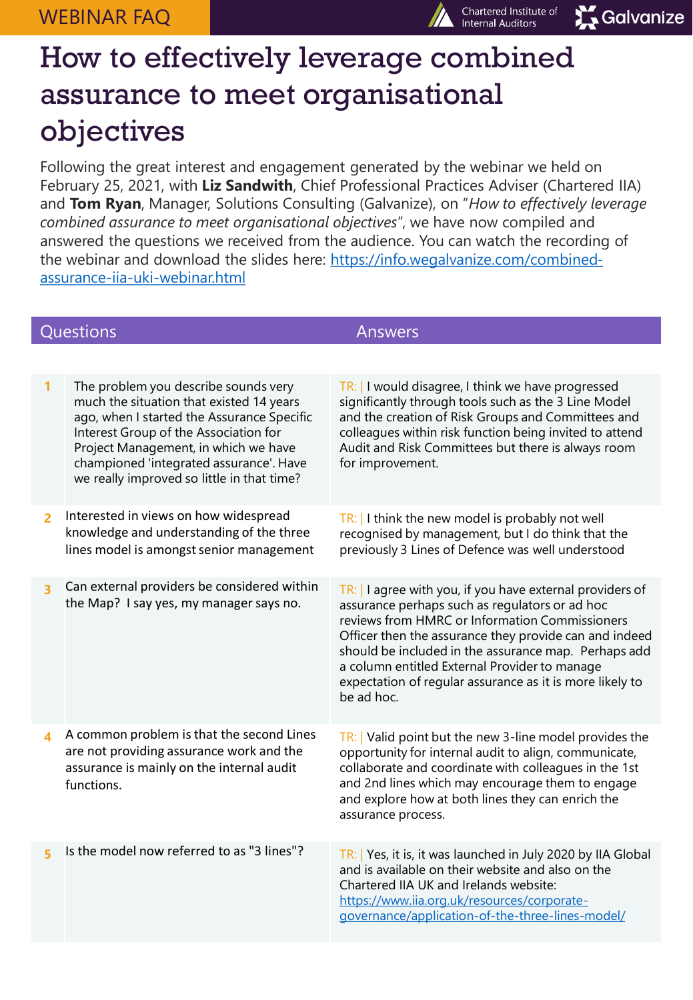WEBINAR FAQ





# How to effectively leverage combined assurance to meet organisational objectives

Following the great interest and engagement generated by the webinar we held on February 25, 2021, with **Liz Sandwith**, Chief Professional Practices Adviser (Chartered IIA) and **Tom Ryan**, Manager, Solutions Consulting (Galvanize), on "*How to effectively leverage combined assurance to meet organisational objectives*", we have now compiled and answered the questions we received from the audience. You can watch the recording of [the webinar and download the slides here: https://info.wegalvanize.com/combined](https://info.wegalvanize.com/combined-assurance-iia-uki-webinar.html)assurance-iia-uki-webinar.html

### Questions **Answers**

| 1                       | The problem you describe sounds very<br>much the situation that existed 14 years<br>ago, when I started the Assurance Specific<br>Interest Group of the Association for<br>Project Management, in which we have<br>championed 'integrated assurance'. Have<br>we really improved so little in that time? | TR:   I would disagree, I think we have progressed<br>significantly through tools such as the 3 Line Model<br>and the creation of Risk Groups and Committees and<br>colleagues within risk function being invited to attend<br>Audit and Risk Committees but there is always room<br>for improvement.                                                                                                      |
|-------------------------|----------------------------------------------------------------------------------------------------------------------------------------------------------------------------------------------------------------------------------------------------------------------------------------------------------|------------------------------------------------------------------------------------------------------------------------------------------------------------------------------------------------------------------------------------------------------------------------------------------------------------------------------------------------------------------------------------------------------------|
| $\overline{2}$          | Interested in views on how widespread<br>knowledge and understanding of the three<br>lines model is amongst senior management                                                                                                                                                                            | $TR:$ I think the new model is probably not well<br>recognised by management, but I do think that the<br>previously 3 Lines of Defence was well understood                                                                                                                                                                                                                                                 |
| $\overline{\mathbf{3}}$ | Can external providers be considered within<br>the Map? I say yes, my manager says no.                                                                                                                                                                                                                   | $TR:$ I agree with you, if you have external providers of<br>assurance perhaps such as regulators or ad hoc<br>reviews from HMRC or Information Commissioners<br>Officer then the assurance they provide can and indeed<br>should be included in the assurance map. Perhaps add<br>a column entitled External Provider to manage<br>expectation of regular assurance as it is more likely to<br>be ad hoc. |
| $\overline{\mathbf{A}}$ | A common problem is that the second Lines<br>are not providing assurance work and the<br>assurance is mainly on the internal audit<br>functions.                                                                                                                                                         | TR:   Valid point but the new 3-line model provides the<br>opportunity for internal audit to align, communicate,<br>collaborate and coordinate with colleagues in the 1st<br>and 2nd lines which may encourage them to engage<br>and explore how at both lines they can enrich the<br>assurance process.                                                                                                   |
|                         | Is the model now referred to as "3 lines"?                                                                                                                                                                                                                                                               | TR:   Yes, it is, it was launched in July 2020 by IIA Global<br>and is available on their website and also on the<br>Chartered IIA UK and Irelands website:<br>https://www.iia.org.uk/resources/corporate-<br>governance/application-of-the-three-lines-model/                                                                                                                                             |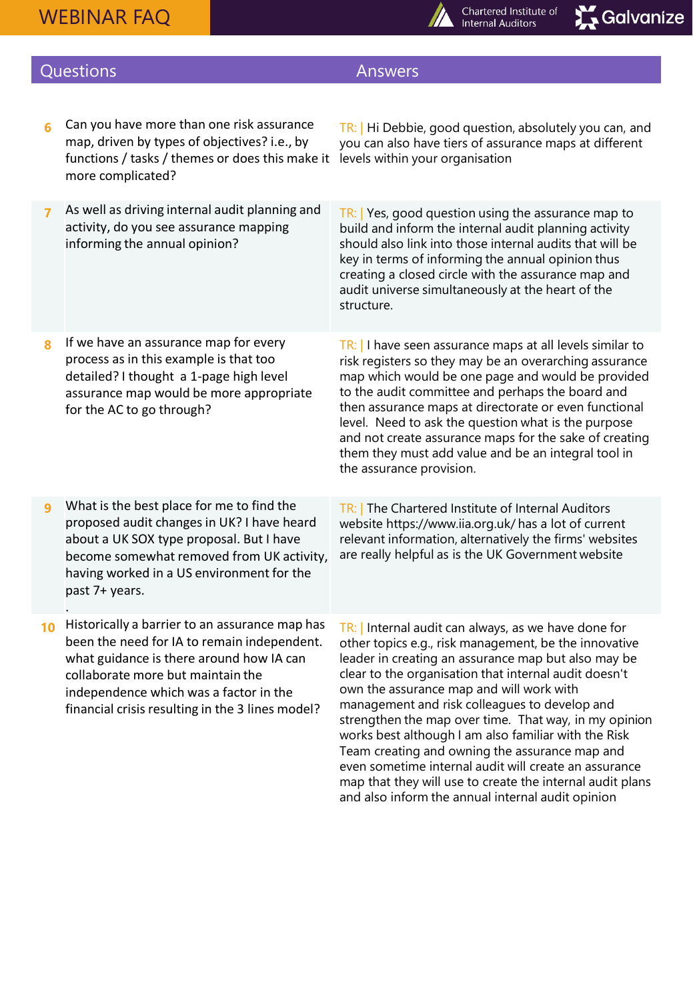## WEBINAR FAQ



Chartered Institute of **Internal Auditors** 

### **Questions Answers**

**6** Can you have more than one risk assurance map, driven by types of objectives? i.e., by functions / tasks / themes or does this make it more complicated? TR: | Hi Debbie, good question, absolutely you can, and you can also have tiers of assurance maps at different levels within your organisation **7** As well as driving internal audit planning and activity, do you see assurance mapping informing the annual opinion? TR: | Yes, good question using the assurance map to build and inform the internal audit planning activity should also link into those internal audits that will be key in terms of informing the annual opinion thus creating a closed circle with the assurance map and audit universe simultaneously at the heart of the structure. **8** If we have an assurance map for every process as in this example is that too detailed? I thought a 1-page high level assurance map would be more appropriate for the AC to go through? TR: | I have seen assurance maps at all levels similar to risk registers so they may be an overarching assurance map which would be one page and would be provided to the audit committee and perhaps the board and then assurance maps at directorate or even functional level. Need to ask the question what is the purpose and not create assurance maps for the sake of creating them they must add value and be an integral tool in the assurance provision. **9** What is the best place for me to find the proposed audit changes in UK? I have heard about a UK SOX type proposal. But I have become somewhat removed from UK activity, having worked in a US environment for the past 7+ years. . TR: | The Chartered Institute of Internal Auditors website https://www.iia.org.uk/ has a lot of current relevant information, alternatively the firms' websites are really helpful as is the UK Government website **10** Historically a barrier to an assurance map has been the need for IA to remain independent. what guidance is there around how IA can collaborate more but maintain the independence which was a factor in the financial crisis resulting in the 3 lines model? TR: | Internal audit can always, as we have done for other topics e.g., risk management, be the innovative leader in creating an assurance map but also may be clear to the organisation that internal audit doesn't own the assurance map and will work with management and risk colleagues to develop and

strengthen the map over time. That way, in my opinion works best although I am also familiar with the Risk Team creating and owning the assurance map and even sometime internal audit will create an assurance map that they will use to create the internal audit plans and also inform the annual internal audit opinion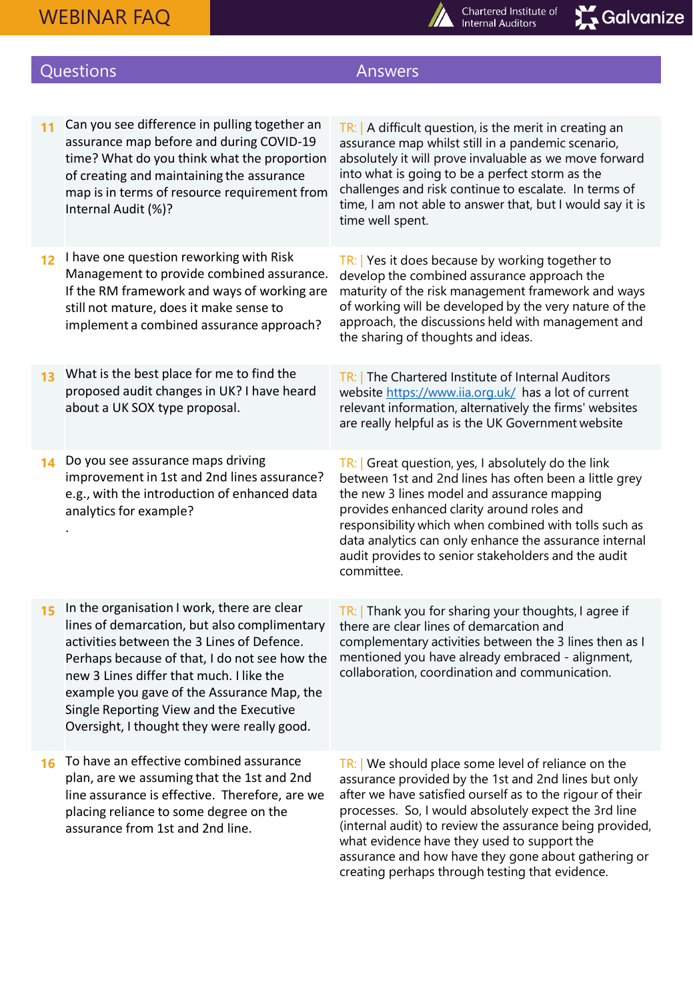

Chartered Institute of **Internal Auditors** 

### Questions **Answers**

.

**11** Can you see difference in pulling together an assurance map before and during COVID-19 time? What do you think what the proportion of creating and maintaining the assurance map is in terms of resource requirement from Internal Audit (%)?

**12** I have one question reworking with Risk Management to provide combined assurance. If the RM framework and ways of working are still not mature, does it make sense to implement a combined assurance approach?

 $TR: A$  difficult question, is the merit in creating an assurance map whilst still in a pandemic scenario, absolutely it will prove invaluable as we move forward into what is going to be a perfect storm as the challenges and risk continue to escalate. In terms of time, I am not able to answer that, but I would say it is time well spent.

TR: | Yes it does because by working together to develop the combined assurance approach the maturity of the risk management framework and ways of working will be developed by the very nature of the approach, the discussions held with management and the sharing of thoughts and ideas.

TR: | The Chartered Institute of Internal Auditors website<https://www.iia.org.uk/> has a lot of current relevant information, alternatively the firms' websites are really helpful as is the UK Government website

- **13** What is the best place for me to find the proposed audit changes in UK? I have heard about a UK SOX type proposal.
- **14** Do you see assurance maps driving improvement in 1st and 2nd lines assurance? e.g., with the introduction of enhanced data analytics for example?

TR: | Great question, yes, I absolutely do the link between 1st and 2nd lines has often been a little grey the new 3 lines model and assurance mapping provides enhanced clarity around roles and responsibility which when combined with tolls such as data analytics can only enhance the assurance internal audit provides to senior stakeholders and the audit committee.

In the organisation I work, there are clear lines of demarcation, but also complimentary activities between the 3 Lines of Defence. Perhaps because of that, I do not see how the new 3 Lines differ that much. I like the example you gave of the Assurance Map, the Single Reporting View and the Executive Oversight, I thought they were really good.

TR: | Thank you for sharing your thoughts, I agree if there are clear lines of demarcation and complementary activities between the 3 lines then as I mentioned you have already embraced - alignment, collaboration, coordination and communication.

**16** To have an effective combined assurance plan, are we assuming that the 1st and 2nd line assurance is effective. Therefore, are we placing reliance to some degree on the assurance from 1st and 2nd line.

TR: We should place some level of reliance on the assurance provided by the 1st and 2nd lines but only after we have satisfied ourself as to the rigour of their processes. So, I would absolutely expect the 3rd line (internal audit) to review the assurance being provided, what evidence have they used to support the assurance and how have they gone about gathering or creating perhaps through testing that evidence.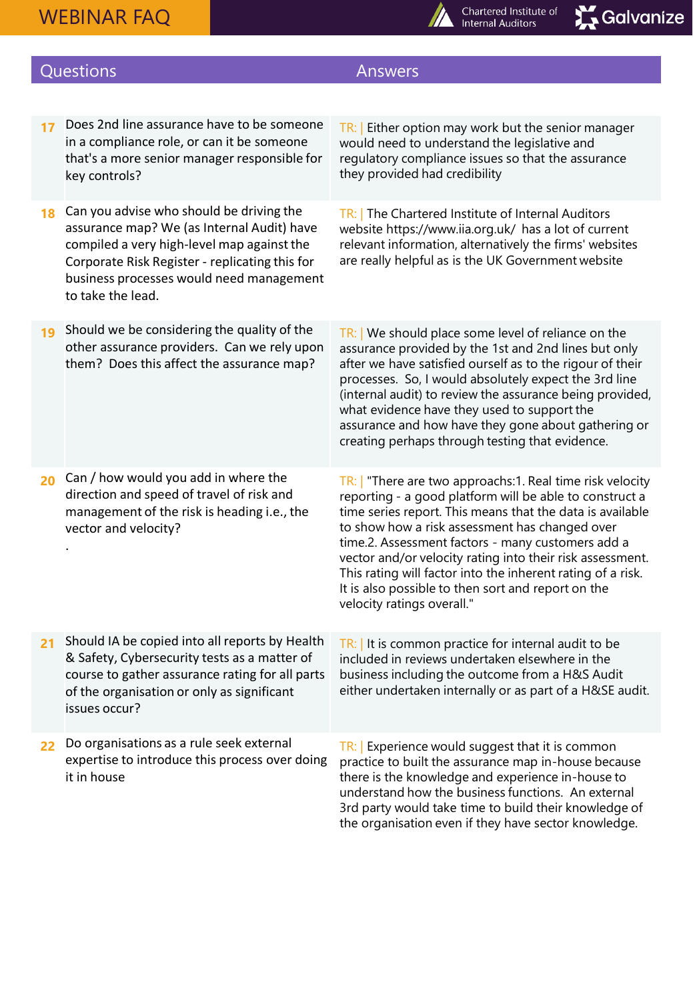

Chartered Institute of<br>Internal Auditors

the organisation even if they have sector knowledge.

## Questions Answers

| 17 | Does 2nd line assurance have to be someone<br>in a compliance role, or can it be someone<br>that's a more senior manager responsible for<br>key controls?                                                                                               | TR:   Either option may work but the senior manager<br>would need to understand the legislative and<br>regulatory compliance issues so that the assurance<br>they provided had credibility                                                                                                                                                                                                                                                                                                               |
|----|---------------------------------------------------------------------------------------------------------------------------------------------------------------------------------------------------------------------------------------------------------|----------------------------------------------------------------------------------------------------------------------------------------------------------------------------------------------------------------------------------------------------------------------------------------------------------------------------------------------------------------------------------------------------------------------------------------------------------------------------------------------------------|
| 18 | Can you advise who should be driving the<br>assurance map? We (as Internal Audit) have<br>compiled a very high-level map against the<br>Corporate Risk Register - replicating this for<br>business processes would need management<br>to take the lead. | TR: The Chartered Institute of Internal Auditors<br>website https://www.iia.org.uk/ has a lot of current<br>relevant information, alternatively the firms' websites<br>are really helpful as is the UK Government website                                                                                                                                                                                                                                                                                |
| 19 | Should we be considering the quality of the<br>other assurance providers. Can we rely upon<br>them? Does this affect the assurance map?                                                                                                                 | $TR:$ We should place some level of reliance on the<br>assurance provided by the 1st and 2nd lines but only<br>after we have satisfied ourself as to the rigour of their<br>processes. So, I would absolutely expect the 3rd line<br>(internal audit) to review the assurance being provided,<br>what evidence have they used to support the<br>assurance and how have they gone about gathering or<br>creating perhaps through testing that evidence.                                                   |
| 20 | Can / how would you add in where the<br>direction and speed of travel of risk and<br>management of the risk is heading i.e., the<br>vector and velocity?                                                                                                | TR:   "There are two approachs:1. Real time risk velocity<br>reporting - a good platform will be able to construct a<br>time series report. This means that the data is available<br>to show how a risk assessment has changed over<br>time.2. Assessment factors - many customers add a<br>vector and/or velocity rating into their risk assessment.<br>This rating will factor into the inherent rating of a risk.<br>It is also possible to then sort and report on the<br>velocity ratings overall." |
| 21 | Should IA be copied into all reports by Health<br>& Safety, Cybersecurity tests as a matter of<br>course to gather assurance rating for all parts<br>of the organisation or only as significant<br>issues occur?                                        | $TR:$ It is common practice for internal audit to be<br>included in reviews undertaken elsewhere in the<br>business including the outcome from a H&S Audit<br>either undertaken internally or as part of a H&SE audit.                                                                                                                                                                                                                                                                                   |
| 22 | Do organisations as a rule seek external<br>expertise to introduce this process over doing<br>it in house                                                                                                                                               | $TR:$ Experience would suggest that it is common<br>practice to built the assurance map in-house because<br>there is the knowledge and experience in-house to<br>understand how the business functions. An external<br>3rd party would take time to build their knowledge of                                                                                                                                                                                                                             |